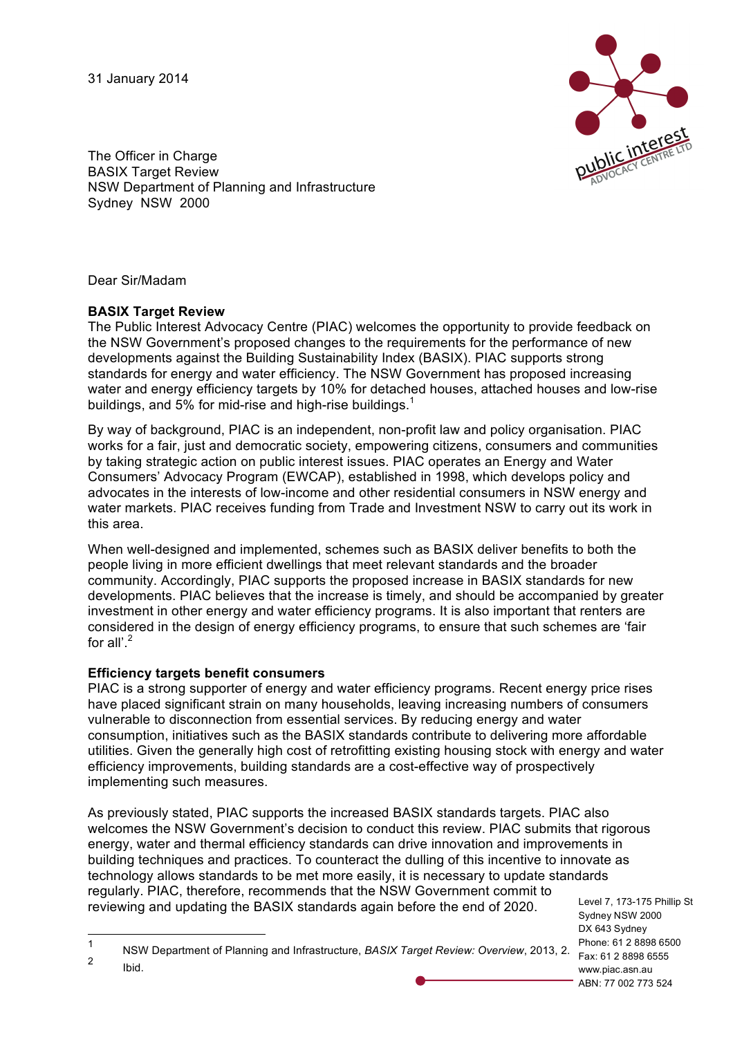31 January 2014



The Officer in Charge **BASIX Target Review** NSW Department of Planning and Infrastructure Sydney NSW 2000

Dear Sir/Madam

## **BASIX Target Review**

The Public Interest Advocacy Centre (PIAC) welcomes the opportunity to provide feedback on the NSW Government's proposed changes to the requirements for the performance of new developments against the Building Sustainability Index (BASIX). PIAC supports strong standards for energy and water efficiency. The NSW Government has proposed increasing water and energy efficiency targets by 10% for detached houses, attached houses and low-rise buildings, and 5% for mid-rise and high-rise buildings. $<sup>1</sup>$ </sup>

By way of background, PIAC is an independent, non-profit law and policy organisation. PIAC works for a fair, just and democratic society, empowering citizens, consumers and communities by taking strategic action on public interest issues. PIAC operates an Energy and Water Consumers' Advocacy Program (EWCAP), established in 1998, which develops policy and advocates in the interests of low-income and other residential consumers in NSW energy and water markets. PIAC receives funding from Trade and Investment NSW to carry out its work in this area.

When well-designed and implemented, schemes such as BASIX deliver benefits to both the people living in more efficient dwellings that meet relevant standards and the broader community. Accordingly, PIAC supports the proposed increase in BASIX standards for new developments. PIAC believes that the increase is timely, and should be accompanied by greater investment in other energy and water efficiency programs. It is also important that renters are considered in the design of energy efficiency programs, to ensure that such schemes are 'fair for all'.<sup>2</sup>

## **Efficiency targets benefit consumers**

PIAC is a strong supporter of energy and water efficiency programs. Recent energy price rises have placed significant strain on many households, leaving increasing numbers of consumers vulnerable to disconnection from essential services. By reducing energy and water consumption, initiatives such as the BASIX standards contribute to delivering more affordable utilities. Given the generally high cost of retrofitting existing housing stock with energy and water efficiency improvements, building standards are a cost-effective way of prospectively implementing such measures.

As previously stated, PIAC supports the increased BASIX standards targets. PIAC also welcomes the NSW Government's decision to conduct this review. PIAC submits that rigorous energy, water and thermal efficiency standards can drive innovation and improvements in building techniques and practices. To counteract the dulling of this incentive to innovate as technology allows standards to be met more easily, it is necessary to update standards regularly. PIAC, therefore, recommends that the NSW Government commit to reviewing and updating the BASIX standards again before the end of 2020.

Level 7, 173-175 Phillip St Sydney NSW 2000 DX 643 Sydney Phone: 61 2 8898 6500 www.piac.asn.au ABN: 77 002 773 524

Fax: 61 2 8898 6555 1 NSW Department of Planning and Infrastructure, *BASIX Target Review: Overview*, 2013, 2. <sup>2</sup> Ibid.